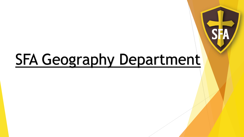# **SFA Geography Department**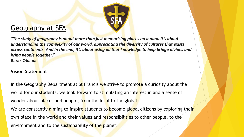

#### Geography at SFA

*"The study of geography is about more than just memorising places on a map. It's about understanding the complexity of our world, appreciating the diversity of cultures that exists across continents. And in the end, it's about using all that knowledge to help bridge divides and bring people together."* **Barak Obama**

#### **Vision Statement**

In the Geography Department at St Francis we strive to promote a curiosity about the world for our students, we look forward to stimulating an interest in and a sense of wonder about places and people, from the local to the global. We are constantly aiming to inspire students to become global citizens by exploring their own place in the world and their values and responsibilities to other people, to the environment and to the sustainability of the planet.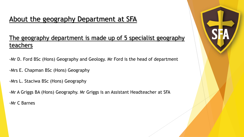#### About the geography Department at SFA

#### The geography department is made up of 5 specialist geography teachers

- -Mr D. Ford BSc (Hons) Geography and Geology. Mr Ford is the head of department
- -Mrs E. Chapman BSc (Hons) Geography
- -Mrs L. Staciwa BSc (Hons) Geography
- -Mr A Griggs BA (Hons) Geography. Mr Griggs is an Assistant Headteacher at SFA

-Mr C Barnes

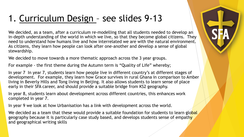# 1. Curriculum Design – see slides 9-13

We decided, as a team, after a curriculum re-modelling that all students needed to develop an in-depth understanding of the world in which we live, so that they become global citizens. They need to understand how humans live and how interrelated we are with the natural environment. As citizens, they learn how people can look after one-another and develop a sense of global stewardship.

We decided to move towards a more thematic approach across the 3 year groups.

For example - the first theme during the Autumn term is "Quality of Life" whereby;

In year 7 In year 7, students learn how people live in different country's at different stages of development. For example, they learn how Grace survives in rural Ghana in comparison to Amber living in Beverly Hills and Tong living in Beijing. It also allows students to learn sense of place early in their SFA career, and should provide a suitable bridge from KS2 geography.

In year 8, students learn about development across different countries, this enhances work completed in year 7.

In year 9 we look at how Urbanisation has a link with development across the world.

We decided as a team that these would provide a suitable foundation for students to learn global geography because it is particularly case study based, and develops students sense of empathy and geographical writing skills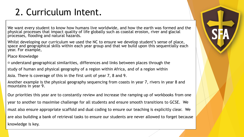# 2. Curriculum Intent.

We want every student to know how humans live worldwide, and how the earth was formed and the physical processes that impact quality of life globally such as coastal erosion, river and glacial processes, flooding and natural hazards.

Whilst developing our curriculum we used the NC to ensure we develop student's sense of place, space and geographical skills within each year group and that we build upon this sequentially each year. For example,

Place Knowledge

 $\Box$  understand geographical similarities, differences and links between places through the

study of human and physical geography of a region within Africa, and of a region within

Asia. There is coverage of this in the first unit of year 7, 8 and 9.

Another example is the physical geography sequencing from coasts in year 7, rivers in year 8 and mountains in year 9.

Our priorities this year are to constantly review and increase the ramping up of workbooks from one year to another to maximise challenge for all students and ensure smooth transitions to GCSE. We must also ensure appropriate scaffold and dual coding to ensure our teaching is explicitly clear. We are also building a bank of retrieval tasks to ensure our students are never allowed to forget because knowledge is key.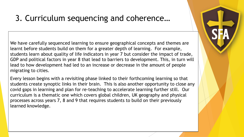#### 3. Curriculum sequencing and coherence…

We have carefully sequenced learning to ensure geographical concepts and themes are learnt before students build on them for a greater depth of learning. For example, students learn about quality of life indicators in year 7 but consider the impact of trade, GDP and political factors in year 8 that lead to barriers to development. This, in turn will lead to how development had led to an increase or decrease in the amount of people migrating to cities.

Every lesson begins with a revisiting phase linked to their forthcoming learning so that students create synoptic links in their brain. This is also another opportunity to close any covid gaps in learning and plan for re-teaching to accelerate learning further still. Our curriculum is a thematic one which covers global children, UK geography and physical processes across years 7, 8 and 9 that requires students to build on their previously learned knowledge.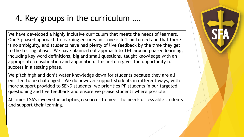## 4. Key groups in the curriculum ….

We have developed a highly inclusive curriculum that meets the needs of learners. Our 7 phased approach to learning ensures no stone is left un-turned and that there is no ambiguity, and students have had plenty of live feedback by the time they get to the testing phase. We have planned out approach to T&L around phased learning, including key word definitions, big and small questions, taught knowledge with an appropriate consolidation and application. This in-turn gives the opportunity for success in a testing phase.

We pitch high and don't water knowledge down for students because they are all entitled to be challenged. We do however support students in different ways, with more support provided to SEND students, we priorities PP students in our targeted questioning and live feedback and ensure we praise students where possible.

At times LSA's involved in adapting resources to meet the needs of less able students and support their learning.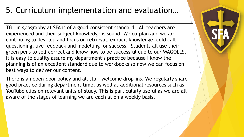## 5. Curriculum implementation and evaluation…

T&L in geography at SFA is of a good consistent standard. All teachers are experienced and their subject knowledge is sound. We co-plan and we are continuing to develop and focus on retrieval, explicit knowledge, cold call questioning, live feedback and modelling for success. Students all use their green pens to self correct and know how to be successful due to our WAGOLLS. It is easy to quality assure my department's practice because I know the planning is of an excellent standard due to workbooks so now we can focus on best ways to deliver our content.

There is an open-door policy and all staff welcome drop-ins. We regularly share good practice during department time, as well as additional resources such as YouTube clips on relevant units of study. This is particularly useful as we are all aware of the stages of learning we are each at on a weekly basis.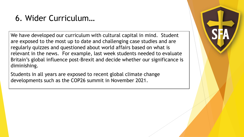#### 6. Wider Curriculum…

We have developed our curriculum with cultural capital in mind. Student are exposed to the most up to date and challenging case studies and are regularly quizzes and questioned about world affairs based on what is relevant in the news. For example, last week students needed to evaluate Britain's global influence post-Brexit and decide whether our significance is diminishing.

Students in all years are exposed to recent global climate change developments such as the COP26 summit in November 2021.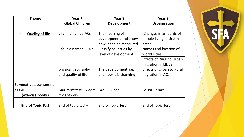| Theme                        | Year 7                               | Year 8                 | Year 9                           |
|------------------------------|--------------------------------------|------------------------|----------------------------------|
|                              | <b>Global Children</b>               | <b>Development</b>     | <b>Urbanisation</b>              |
|                              |                                      |                        |                                  |
| <b>Quality of life</b><br>1. | Life in a named ACs                  | The meaning of         | Changes in amounts of            |
|                              |                                      | development and know   | people living in Urban           |
|                              |                                      | how it can be measured | areas                            |
|                              | Life in a named LIDCs                | Classify countries by  | Names and location of            |
|                              |                                      | level of development   | world cities                     |
|                              |                                      |                        | <b>Effects of Rural to Urban</b> |
|                              |                                      |                        | migration in LIDCs               |
|                              | physical geography                   | The development gap    | <b>Effects of Urban to Rural</b> |
|                              | and quality of life.                 | and how it is changing | migration in ACs                 |
|                              |                                      |                        |                                  |
| <b>Summative assessment</b>  |                                      |                        |                                  |
| / DME                        | Mid-topic test - where   DME - Sudan |                        | Faisal – Cairo                   |
| (exercise books)             | are they at?                         |                        |                                  |
|                              |                                      |                        |                                  |
| <b>End of Topic Test</b>     | End of topic test $-$                | End of Topic Test      | End of Topic Test                |

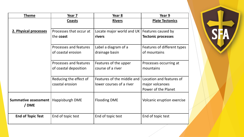| <b>Theme</b>                    | Year 7                                          | Year 8                                                 | Year 9                                                             |
|---------------------------------|-------------------------------------------------|--------------------------------------------------------|--------------------------------------------------------------------|
|                                 | Coasts                                          | <b>Rivers</b>                                          | <b>Plate Tectonics</b>                                             |
| 2. Physical processes           | Processes that occur at<br>the <b>coast</b>     | Locate major world and UK  <br>rivers                  | Features caused by<br><b>Tectonic processes</b>                    |
|                                 | Processes and features<br>of coastal erosion    | Label a diagram of a<br>drainage basin                 | Features of different types<br>of mountains                        |
|                                 | Processes and features<br>of coastal deposition | Features of the upper<br>course of a river             | Processes occurring at<br>mountains                                |
|                                 | Reducing the effect of<br>coastal erosion       | Features of the middle and<br>lower courses of a river | Location and features of<br>major volcanoes<br>Power of the Planet |
| Summative assessment  <br>/ DME | Happisburgh DME                                 | <b>Flooding DME</b>                                    | Volcanic eruption exercise                                         |
| <b>End of Topic Test</b>        | End of topic test                               | End of topic test                                      | End of topic test                                                  |

SH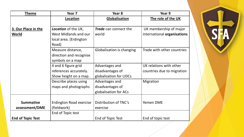| <b>Theme</b>             | Year <sub>7</sub>              | Year 8                       | Year 9                      |
|--------------------------|--------------------------------|------------------------------|-----------------------------|
|                          | Location                       | Globalisation                | The role of the UK          |
|                          |                                |                              |                             |
| 3. Our Place in the      | Location of the UK,            | <b>Trade</b> can connect the | UK membership of major      |
| World                    | West Midlands and our          | world                        | international organisations |
|                          | local area. (Erdington         |                              |                             |
|                          | Road)                          |                              |                             |
|                          | Measure distance,              | Globalisation is changing    | Trade with other countries  |
|                          | direction and recognise        |                              |                             |
|                          | symbols on a map               |                              |                             |
|                          | 4 and 6 figure grid            | Advantages and               | UK relations with other     |
|                          | references accurately.         | disadvantages of             | countries due to migration  |
|                          | Show height on a map.          | globalisation for LIDCs      |                             |
|                          | Describe places using          | Advantages and               | Migration                   |
|                          | maps and photographs           | disadvantages of             |                             |
|                          |                                | globalisation for ACs        |                             |
|                          |                                |                              |                             |
| <b>Summative</b>         | <b>Erdington Road exercise</b> | Distribution of TNC's        | Yemen DME                   |
| assessment/DME           | (fieldwork)                    | exercise                     |                             |
|                          | End of Topic test              |                              |                             |
| <b>End of Topic Test</b> |                                | End of Topic Test            | End of topic test           |

SH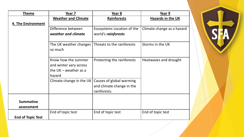| <b>Theme</b>             | Year 7                     | Year 8                     | Year 9                     |
|--------------------------|----------------------------|----------------------------|----------------------------|
|                          | <b>Weather and Climate</b> | <b>Rainforests</b>         | <b>Hazards in the UK</b>   |
| 4. The Environment       |                            |                            |                            |
|                          | Difference between         | Ecosystems Location of the | Climate change as a hazard |
|                          | weather and climate        | world's rainforests        |                            |
|                          |                            |                            |                            |
|                          | The UK weather changes     | Threats to the rainforests | Storms in the UK           |
|                          | so much                    |                            |                            |
|                          |                            |                            |                            |
|                          | Know how the summer        | Protecting the rainforests | Heatwaves and drought      |
|                          | and winter vary across     |                            |                            |
|                          | the $UK$ – weather as a    |                            |                            |
|                          | hazard                     |                            |                            |
|                          | Climate change in the UK   | Causes of global warming   |                            |
|                          |                            | and climate change in the  |                            |
|                          |                            | rainforests.               |                            |
|                          |                            |                            |                            |
| <b>Summative</b>         |                            |                            |                            |
| assessment               |                            |                            |                            |
|                          | End of topic test          | End of topic test          | End of topic test          |
| <b>End of Topic Test</b> |                            |                            |                            |